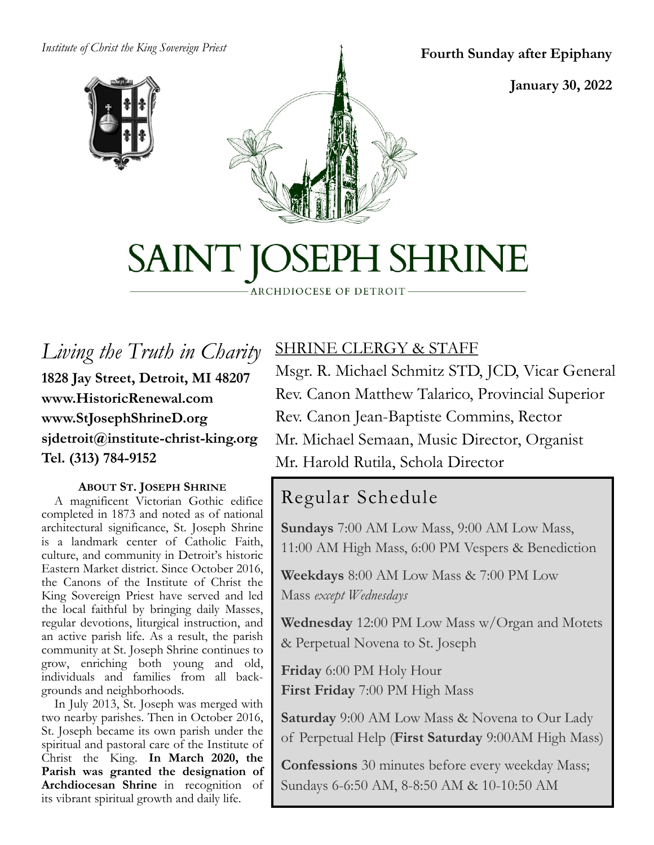#### *Institute of Christ the King Sovereign Priest*





**Fourth Sunday after Epiphany**

**January 30, 2022**

# SAINT JOSEPH SHRINE

ARCHDIOCESE OF DETROIT

*Living the Truth in Charity* **1828 Jay Street, Detroit, MI 48207 www.HistoricRenewal.com www.StJosephShrineD.org sjdetroit@institute-christ-king.org Tel. (313) 784-9152**

#### **ABOUT ST. JOSEPH SHRINE**

 A magnificent Victorian Gothic edifice completed in 1873 and noted as of national architectural significance, St. Joseph Shrine is a landmark center of Catholic Faith, culture, and community in Detroit's historic Eastern Market district. Since October 2016, the Canons of the Institute of Christ the King Sovereign Priest have served and led the local faithful by bringing daily Masses, regular devotions, liturgical instruction, and an active parish life. As a result, the parish community at St. Joseph Shrine continues to grow, enriching both young and old, individuals and families from all backgrounds and neighborhoods.

 In July 2013, St. Joseph was merged with two nearby parishes. Then in October 2016, St. Joseph became its own parish under the spiritual and pastoral care of the Institute of Christ the King. **In March 2020, the Parish was granted the designation of Archdiocesan Shrine** in recognition of its vibrant spiritual growth and daily life.

# SHRINE CLERGY & STAFF

Msgr. R. Michael Schmitz STD, JCD, Vicar General Rev. Canon Matthew Talarico, Provincial Superior Rev. Canon Jean-Baptiste Commins, Rector Mr. Michael Semaan, Music Director, Organist Mr. Harold Rutila, Schola Director

# Regular Schedule

**Sundays** 7:00 AM Low Mass, 9:00 AM Low Mass, 11:00 AM High Mass, 6:00 PM Vespers & Benediction

**Weekdays** 8:00 AM Low Mass & 7:00 PM Low Mass *except Wednesdays*

**Wednesday** 12:00 PM Low Mass w/Organ and Motets & Perpetual Novena to St. Joseph

**Friday** 6:00 PM Holy Hour **First Friday** 7:00 PM High Mass

**Saturday** 9:00 AM Low Mass & Novena to Our Lady of Perpetual Help (**First Saturday** 9:00AM High Mass)

**Confessions** 30 minutes before every weekday Mass; Sundays 6-6:50 AM, 8-8:50 AM & 10-10:50 AM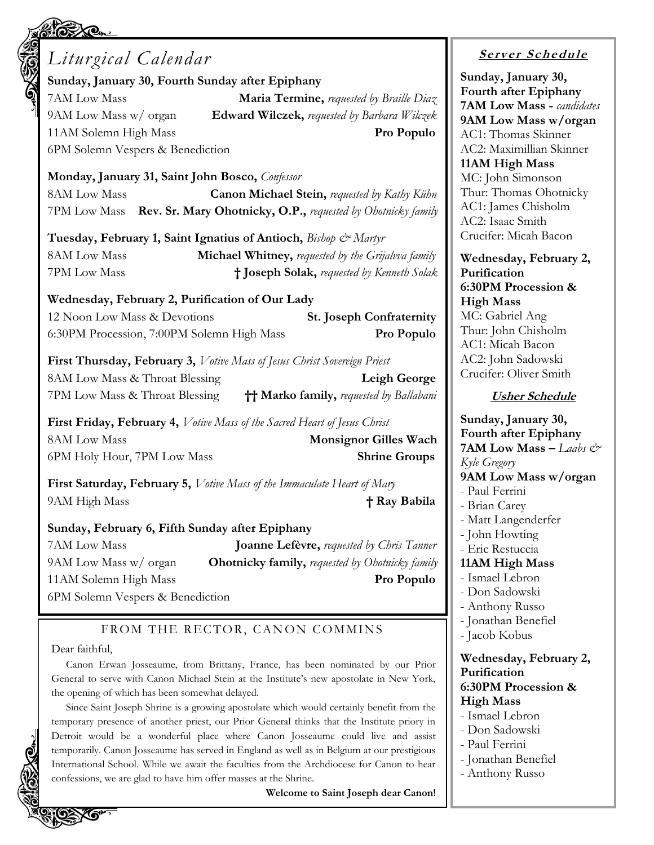# *Liturgical Calendar* **Sunday, January 30, Fourth Sunday after Epiphany** 7AM Low Mass **Maria Termine,** *requested by Braille Diaz* 9AM Low Mass w/ organ **Edward Wilczek,** *requested by Barbara Wilczek* 11AM Solemn High Mass **Pro Populo** 6PM Solemn Vespers & Benediction **Monday, January 31, Saint John Bosco,** *Confessor* 8AM Low Mass **Canon Michael Stein,** *requested by Kathy Kühn* 7PM Low Mass **Rev. Sr. Mary Ohotnicky, O.P.,** *requested by Ohotnicky family* **Tuesday, February 1, Saint Ignatius of Antioch,** *Bishop & Martyr* 8AM Low Mass **Michael Whitney,** *requested by the Grijalvva family* 7PM Low Mass **† Joseph Solak,** *requested by Kenneth Solak* **Wednesday, February 2, Purification of Our Lady**  12 Noon Low Mass & Devotions **St. Joseph Confraternity** 6:30PM Procession, 7:00PM Solemn High Mass **Pro Populo First Thursday, February 3,** *Votive Mass of Jesus Christ Sovereign Priest* 8AM Low Mass & Throat Blessing **Leigh George** 7PM Low Mass & Throat Blessing **†† Marko family,** *requested by Ballabani* **First Friday, February 4,** *Votive Mass of the Sacred Heart of Jesus Christ*

8AM Low Mass **Monsignor Gilles Wach** 6PM Holy Hour, 7PM Low Mass **Shrine Groups**

**First Saturday, February 5,** *Votive Mass of the Immaculate Heart of Mary* 9AM High Mass **† Ray Babila**

#### **Sunday, February 6, Fifth Sunday after Epiphany**

7AM Low Mass **Joanne Lefèvre,** *requested by Chris Tanner* 9AM Low Mass w/ organ **Ohotnicky family,** *requested by Ohotnicky family* 11AM Solemn High Mass **Pro Populo** 6PM Solemn Vespers & Benediction

#### FROM THE RECTOR, CANON COMMINS

#### Dear faithful,

Canon Erwan Josseaume, from Brittany, France, has been nominated by our Prior General to serve with Canon Michael Stein at the Institute's new apostolate in New York, the opening of which has been somewhat delayed.

Since Saint Joseph Shrine is a growing apostolate which would certainly benefit from the temporary presence of another priest, our Prior General thinks that the Institute priory in Detroit would be a wonderful place where Canon Josseaume could live and assist temporarily. Canon Josseaume has served in England as well as in Belgium at our prestigious International School. While we await the faculties from the Archdiocese for Canon to hear confessions, we are glad to have him offer masses at the Shrine.

**Welcome to Saint Joseph dear Canon!**

# **<sup>S</sup> <sup>e</sup> rv er <sup>S</sup> <sup>c</sup> he du le**

**Sunday, January 30, Fourth after Epiphany 7AM Low Mass -** *candidates* **9AM Low Mass w/organ** AC1: Thomas Skinner AC2: Maximillian Skinner **11AM High Mass** MC: John Simonson Thur: Thomas Ohotnicky AC1: James Chisholm AC2: Isaac Smith Crucifer: Micah Bacon

**Wednesday, February 2, Purification 6:30PM Procession & High Mass** MC: Gabriel Ang Thur: John Chisholm AC1: Micah Bacon AC2: John Sadowski Crucifer: Oliver Smith

#### **Usher Schedule**

**Sunday, January 30, Fourth after Epiphany 7AM Low Mass –** *Laabs & Kyle Gregory* **9AM Low Mass w/organ** - Paul Ferrini - Brian Carey - Matt Langenderfer - John Howting - Eric Restuccia **11AM High Mass** - Ismael Lebron - Don Sadowski - Anthony Russo - Jonathan Benefiel - Jacob Kobus **Wednesday, February 2, Purification 6:30PM Procession & High Mass** - Ismael Lebron - Don Sadowski - Paul Ferrini - Jonathan Benefiel - Anthony Russo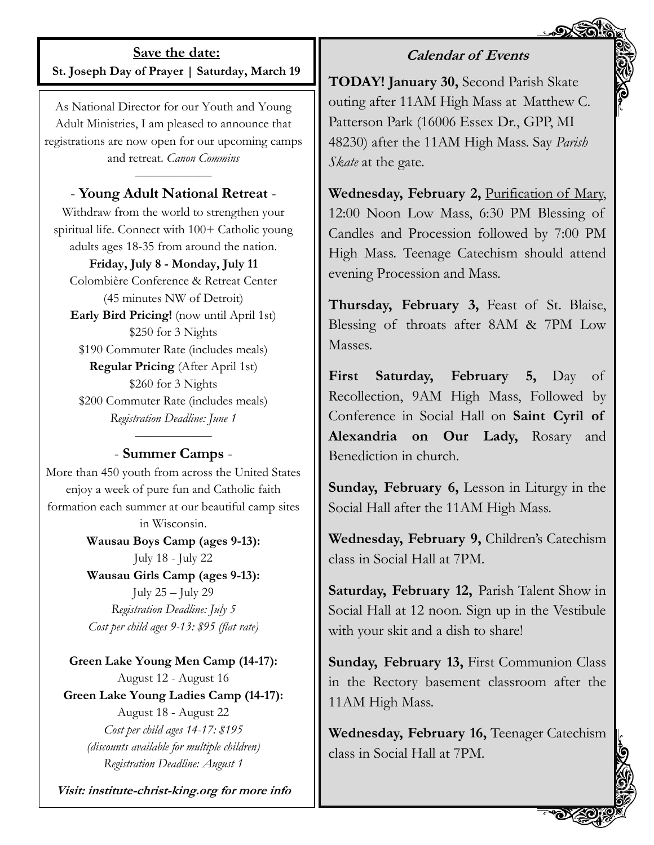#### **Save the date: St. Joseph Day of Prayer | Saturday, March 19**

As National Director for our Youth and Young Adult Ministries, I am pleased to announce that registrations are now open for our upcoming camps and retreat. *Canon Commins*

#### *——————* - **Young Adult National Retreat** -

Withdraw from the world to strengthen your spiritual life. Connect with 100+ Catholic young adults ages 18-35 from around the nation.

#### **Friday, July 8 - Monday, July 11**

Colombière Conference & Retreat Center (45 minutes NW of Detroit) **Early Bird Pricing!** (now until April 1st) \$250 for 3 Nights \$190 Commuter Rate (includes meals) **Regular Pricing** (After April 1st) \$260 for 3 Nights \$200 Commuter Rate (includes meals) *Registration Deadline: June 1*

#### *——————* - **Summer Camps** -

More than 450 youth from across the United States enjoy a week of pure fun and Catholic faith formation each summer at our beautiful camp sites in Wisconsin.

> **Wausau Boys Camp (ages 9-13):**  July 18 - July 22

> **Wausau Girls Camp (ages 9-13):**  July 25 – July 29 *Registration Deadline: July 5 Cost per child ages 9-13: \$95 (flat rate)*

**Green Lake Young Men Camp (14-17):**  August 12 - August 16 **Green Lake Young Ladies Camp (14-17):**  August 18 - August 22 *Cost per child ages 14-17: \$195 (discounts available for multiple children) Registration Deadline: August 1*

**Visit: institute-christ-king.org for more info**

**TODAY! January 30,** Second Parish Skate outing after 11AM High Mass at Matthew C. Patterson Park (16006 Essex Dr., GPP, MI 48230) after the 11AM High Mass. Say *Parish Skate* at the gate.

**Calendar of Events**

**Wednesday, February 2,** Purification of Mary, 12:00 Noon Low Mass, 6:30 PM Blessing of Candles and Procession followed by 7:00 PM High Mass. Teenage Catechism should attend evening Procession and Mass.

**Thursday, February 3,** Feast of St. Blaise, Blessing of throats after 8AM & 7PM Low Masses.

**First Saturday, February 5,** Day of Recollection, 9AM High Mass, Followed by Conference in Social Hall on **Saint Cyril of Alexandria on Our Lady,** Rosary and Benediction in church.

**Sunday, February 6,** Lesson in Liturgy in the Social Hall after the 11AM High Mass.

**Wednesday, February 9,** Children's Catechism class in Social Hall at 7PM.

**Saturday, February 12,** Parish Talent Show in Social Hall at 12 noon. Sign up in the Vestibule with your skit and a dish to share!

**Sunday, February 13,** First Communion Class in the Rectory basement classroom after the 11AM High Mass.

**Wednesday, February 16,** Teenager Catechism class in Social Hall at 7PM.